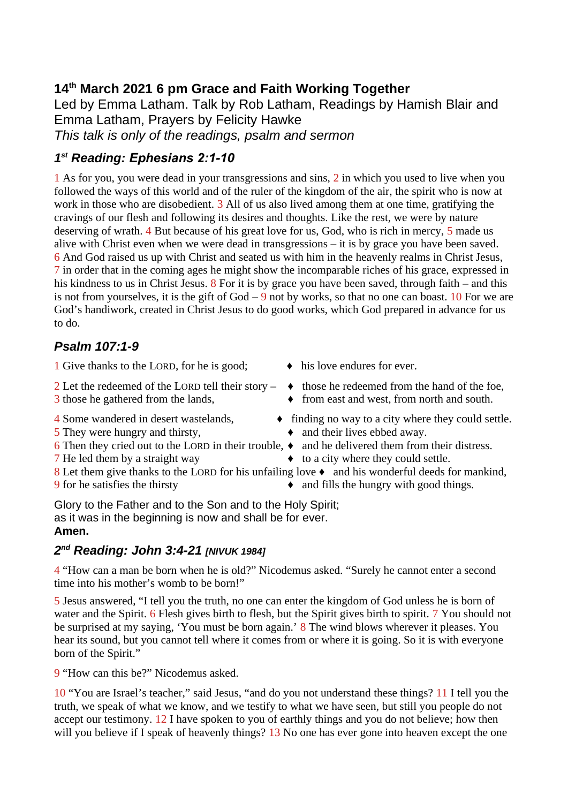# **14th March 2021 6 pm Grace and Faith Working Together**

Led by Emma Latham. Talk by Rob Latham, Readings by Hamish Blair and Emma Latham, Prayers by Felicity Hawke *This talk is only of the readings, psalm and sermon*

# *1 st Reading: Ephesians 2:1-10*

1 As for you, you were dead in your transgressions and sins, 2 in which you used to live when you followed the ways of this world and of the ruler of the kingdom of the air, the spirit who is now at work in those who are disobedient. 3 All of us also lived among them at one time, gratifying the cravings of our flesh and following its desires and thoughts. Like the rest, we were by nature deserving of wrath. 4 But because of his great love for us, God, who is rich in mercy, 5 made us alive with Christ even when we were dead in transgressions – it is by grace you have been saved. 6 And God raised us up with Christ and seated us with him in the heavenly realms in Christ Jesus, 7 in order that in the coming ages he might show the incomparable riches of his grace, expressed in his kindness to us in Christ Jesus. 8 For it is by grace you have been saved, through faith – and this is not from yourselves, it is the gift of  $God - 9$  not by works, so that no one can boast. 10 For we are God's handiwork, created in Christ Jesus to do good works, which God prepared in advance for us to do.

# *Psalm 107:1-9*

1 Give thanks to the LORD, for he is good;  $\rightarrow$  his love endures for ever.

- 2 Let the redeemed of the LORD tell their story  $\bullet$  those he redeemed from the hand of the foe,
- 
- $5$  They were hungry and thirsty,  $\longrightarrow$  and their lives ebbed away.
- 6 Then they cried out to the LORD in their trouble,  $\bullet$  and he delivered them from their distress.
- 
- 
- 
- 
- 
- 3 those he gathered from the lands,  $\bullet$  from east and west, from north and south.
- 4 Some wandered in desert wastelands,  $\bullet$  finding no way to a city where they could settle.
	-
	-
- 7 He led them by a straight way  $\rightarrow$  to a city where they could settle.
- 8 Let them give thanks to the LORD for his unfailing love  $\bullet$  and his wonderful deeds for mankind,
- 9 for he satisfies the thirsty  $\bullet$  and fills the hungry with good things.

Glory to the Father and to the Son and to the Holy Spirit; as it was in the beginning is now and shall be for ever. **Amen.**

### *2 nd Reading: John 3:4-21 [NIVUK 1984]*

4 "How can a man be born when he is old?" Nicodemus asked. "Surely he cannot enter a second time into his mother's womb to be born!"

5 Jesus answered, "I tell you the truth, no one can enter the kingdom of God unless he is born of water and the Spirit. 6 Flesh gives birth to flesh, but the Spirit gives birth to spirit. 7 You should not be surprised at my saying, 'You must be born again.' 8 The wind blows wherever it pleases. You hear its sound, but you cannot tell where it comes from or where it is going. So it is with everyone born of the Spirit."

9 "How can this be?" Nicodemus asked.

10 "You are Israel's teacher," said Jesus, "and do you not understand these things? 11 I tell you the truth, we speak of what we know, and we testify to what we have seen, but still you people do not accept our testimony. 12 I have spoken to you of earthly things and you do not believe; how then will you believe if I speak of heavenly things? 13 No one has ever gone into heaven except the one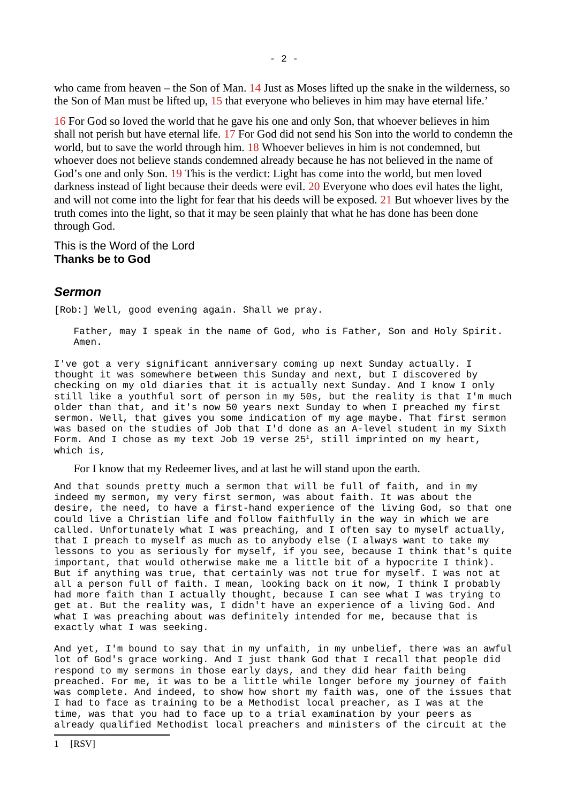who came from heaven – the Son of Man. 14 Just as Moses lifted up the snake in the wilderness, so the Son of Man must be lifted up, 15 that everyone who believes in him may have eternal life.'

16 For God so loved the world that he gave his one and only Son, that whoever believes in him shall not perish but have eternal life. 17 For God did not send his Son into the world to condemn the world, but to save the world through him. 18 Whoever believes in him is not condemned, but whoever does not believe stands condemned already because he has not believed in the name of God's one and only Son. 19 This is the verdict: Light has come into the world, but men loved darkness instead of light because their deeds were evil. 20 Everyone who does evil hates the light, and will not come into the light for fear that his deeds will be exposed. 21 But whoever lives by the truth comes into the light, so that it may be seen plainly that what he has done has been done through God.

This is the Word of the Lord **Thanks be to God**

### *Sermon*

[Rob:] Well, good evening again. Shall we pray.

Father, may I speak in the name of God, who is Father, Son and Holy Spirit. Amen.

I've got a very significant anniversary coming up next Sunday actually. I thought it was somewhere between this Sunday and next, but I discovered by checking on my old diaries that it is actually next Sunday. And I know I only still like a youthful sort of person in my 50s, but the reality is that I'm much older than that, and it's now 50 years next Sunday to when I preached my first sermon. Well, that gives you some indication of my age maybe. That first sermon was based on the studies of Job that I'd done as an A-level student in my Sixth Form. And I chose as my text Job [1](#page-1-0)9 verse  $25<sup>1</sup>$ , still imprinted on my heart, which is,

For I know that my Redeemer lives, and at last he will stand upon the earth.

And that sounds pretty much a sermon that will be full of faith, and in my indeed my sermon, my very first sermon, was about faith. It was about the desire, the need, to have a first-hand experience of the living God, so that one could live a Christian life and follow faithfully in the way in which we are called. Unfortunately what I was preaching, and I often say to myself actually, that I preach to myself as much as to anybody else (I always want to take my lessons to you as seriously for myself, if you see, because I think that's quite important, that would otherwise make me a little bit of a hypocrite I think). But if anything was true, that certainly was not true for myself. I was not at all a person full of faith. I mean, looking back on it now, I think I probably had more faith than I actually thought, because I can see what I was trying to get at. But the reality was, I didn't have an experience of a living God. And what I was preaching about was definitely intended for me, because that is exactly what I was seeking.

<span id="page-1-0"></span>And yet, I'm bound to say that in my unfaith, in my unbelief, there was an awful lot of God's grace working. And I just thank God that I recall that people did respond to my sermons in those early days, and they did hear faith being preached. For me, it was to be a little while longer before my journey of faith was complete. And indeed, to show how short my faith was, one of the issues that I had to face as training to be a Methodist local preacher, as I was at the time, was that you had to face up to a trial examination by your peers as already qualified Methodist local preachers and ministers of the circuit at the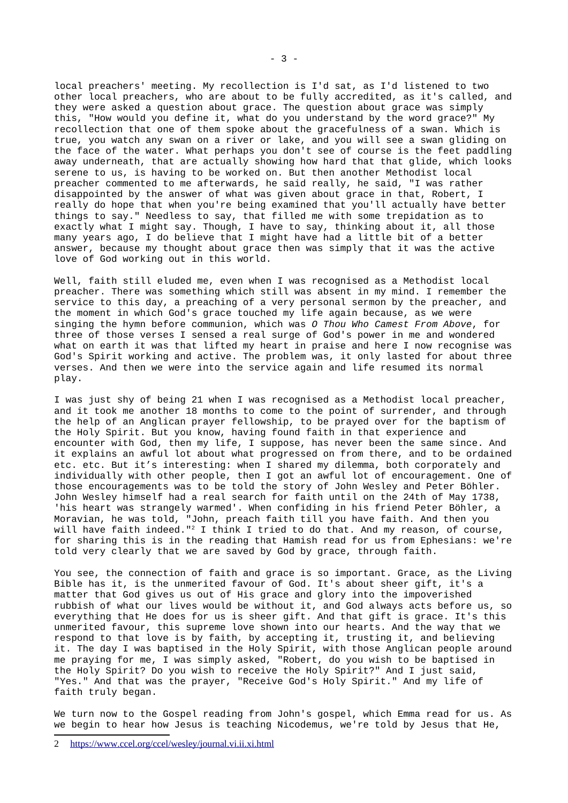local preachers' meeting. My recollection is I'd sat, as I'd listened to two other local preachers, who are about to be fully accredited, as it's called, and they were asked a question about grace. The question about grace was simply this, "How would you define it, what do you understand by the word grace?" My recollection that one of them spoke about the gracefulness of a swan. Which is true, you watch any swan on a river or lake, and you will see a swan gliding on the face of the water. What perhaps you don't see of course is the feet paddling away underneath, that are actually showing how hard that that glide, which looks serene to us, is having to be worked on. But then another Methodist local preacher commented to me afterwards, he said really, he said, "I was rather disappointed by the answer of what was given about grace in that, Robert, I really do hope that when you're being examined that you'll actually have better things to say." Needless to say, that filled me with some trepidation as to exactly what I might say. Though, I have to say, thinking about it, all those many years ago, I do believe that I might have had a little bit of a better answer, because my thought about grace then was simply that it was the active love of God working out in this world.

Well, faith still eluded me, even when I was recognised as a Methodist local preacher. There was something which still was absent in my mind. I remember the service to this day, a preaching of a very personal sermon by the preacher, and the moment in which God's grace touched my life again because, as we were singing the hymn before communion, which was *O Thou Who Camest From Above*, for three of those verses I sensed a real surge of God's power in me and wondered what on earth it was that lifted my heart in praise and here I now recognise was God's Spirit working and active. The problem was, it only lasted for about three verses. And then we were into the service again and life resumed its normal play.

I was just shy of being 21 when I was recognised as a Methodist local preacher, and it took me another 18 months to come to the point of surrender, and through the help of an Anglican prayer fellowship, to be prayed over for the baptism of the Holy Spirit. But you know, having found faith in that experience and encounter with God, then my life, I suppose, has never been the same since. And it explains an awful lot about what progressed on from there, and to be ordained etc. etc. But it's interesting: when I shared my dilemma, both corporately and individually with other people, then I got an awful lot of encouragement. One of those encouragements was to be told the story of John Wesley and Peter Böhler. John Wesley himself had a real search for faith until on the 24th of May 1738, 'his heart was strangely warmed'. When confiding in his friend Peter Böhler, a Moravian, he was told, "John, preach faith till you have faith. And then you will have faith indeed."<sup>[2](#page-2-0)</sup> I think I tried to do that. And my reason, of course, for sharing this is in the reading that Hamish read for us from Ephesians: we're told very clearly that we are saved by God by grace, through faith.

You see, the connection of faith and grace is so important. Grace, as the Living Bible has it, is the unmerited favour of God. It's about sheer gift, it's a matter that God gives us out of His grace and glory into the impoverished rubbish of what our lives would be without it, and God always acts before us, so everything that He does for us is sheer gift. And that gift is grace. It's this unmerited favour, this supreme love shown into our hearts. And the way that we respond to that love is by faith, by accepting it, trusting it, and believing it. The day I was baptised in the Holy Spirit, with those Anglican people around me praying for me, I was simply asked, "Robert, do you wish to be baptised in the Holy Spirit? Do you wish to receive the Holy Spirit?" And I just said, "Yes." And that was the prayer, "Receive God's Holy Spirit." And my life of faith truly began.

We turn now to the Gospel reading from John's gospel, which Emma read for us. As we begin to hear how Jesus is teaching Nicodemus, we're told by Jesus that He,

<span id="page-2-0"></span><sup>2</sup><https://www.ccel.org/ccel/wesley/journal.vi.ii.xi.html>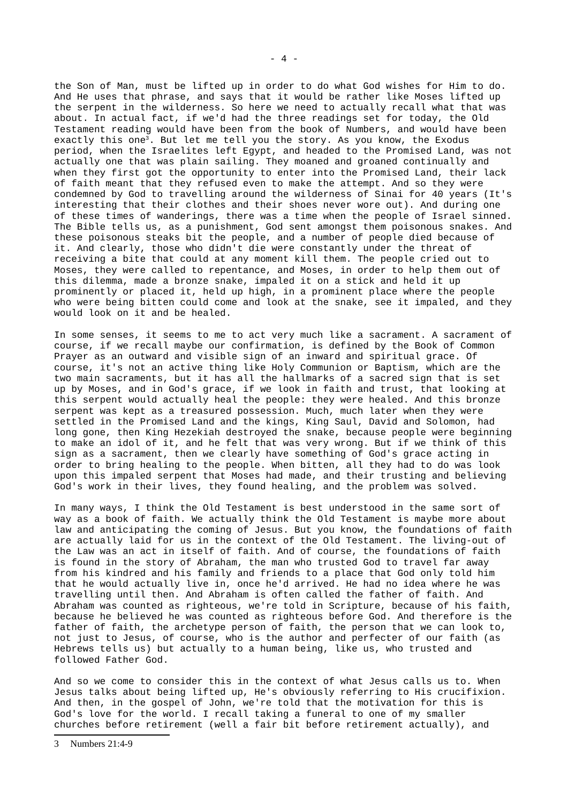the Son of Man, must be lifted up in order to do what God wishes for Him to do. And He uses that phrase, and says that it would be rather like Moses lifted up the serpent in the wilderness. So here we need to actually recall what that was about. In actual fact, if we'd had the three readings set for today, the Old Testament reading would have been from the book of Numbers, and would have been exactly this one<sup>[3](#page-3-0)</sup>. But let me tell you the story. As you know, the Exodus period, when the Israelites left Egypt, and headed to the Promised Land, was not actually one that was plain sailing. They moaned and groaned continually and when they first got the opportunity to enter into the Promised Land, their lack of faith meant that they refused even to make the attempt. And so they were condemned by God to travelling around the wilderness of Sinai for 40 years (It's interesting that their clothes and their shoes never wore out). And during one of these times of wanderings, there was a time when the people of Israel sinned. The Bible tells us, as a punishment, God sent amongst them poisonous snakes. And these poisonous steaks bit the people, and a number of people died because of it. And clearly, those who didn't die were constantly under the threat of receiving a bite that could at any moment kill them. The people cried out to Moses, they were called to repentance, and Moses, in order to help them out of this dilemma, made a bronze snake, impaled it on a stick and held it up prominently or placed it, held up high, in a prominent place where the people who were being bitten could come and look at the snake, see it impaled, and they would look on it and be healed.

In some senses, it seems to me to act very much like a sacrament. A sacrament of course, if we recall maybe our confirmation, is defined by the Book of Common Prayer as an outward and visible sign of an inward and spiritual grace. Of course, it's not an active thing like Holy Communion or Baptism, which are the two main sacraments, but it has all the hallmarks of a sacred sign that is set up by Moses, and in God's grace, if we look in faith and trust, that looking at this serpent would actually heal the people: they were healed. And this bronze serpent was kept as a treasured possession. Much, much later when they were settled in the Promised Land and the kings, King Saul, David and Solomon, had long gone, then King Hezekiah destroyed the snake, because people were beginning to make an idol of it, and he felt that was very wrong. But if we think of this sign as a sacrament, then we clearly have something of God's grace acting in order to bring healing to the people. When bitten, all they had to do was look upon this impaled serpent that Moses had made, and their trusting and believing God's work in their lives, they found healing, and the problem was solved.

In many ways, I think the Old Testament is best understood in the same sort of way as a book of faith. We actually think the Old Testament is maybe more about law and anticipating the coming of Jesus. But you know, the foundations of faith are actually laid for us in the context of the Old Testament. The living-out of the Law was an act in itself of faith. And of course, the foundations of faith is found in the story of Abraham, the man who trusted God to travel far away from his kindred and his family and friends to a place that God only told him that he would actually live in, once he'd arrived. He had no idea where he was travelling until then. And Abraham is often called the father of faith. And Abraham was counted as righteous, we're told in Scripture, because of his faith, because he believed he was counted as righteous before God. And therefore is the father of faith, the archetype person of faith, the person that we can look to, not just to Jesus, of course, who is the author and perfecter of our faith (as Hebrews tells us) but actually to a human being, like us, who trusted and followed Father God.

And so we come to consider this in the context of what Jesus calls us to. When Jesus talks about being lifted up, He's obviously referring to His crucifixion. And then, in the gospel of John, we're told that the motivation for this is God's love for the world. I recall taking a funeral to one of my smaller churches before retirement (well a fair bit before retirement actually), and

<span id="page-3-0"></span><sup>3</sup> Numbers 21:4-9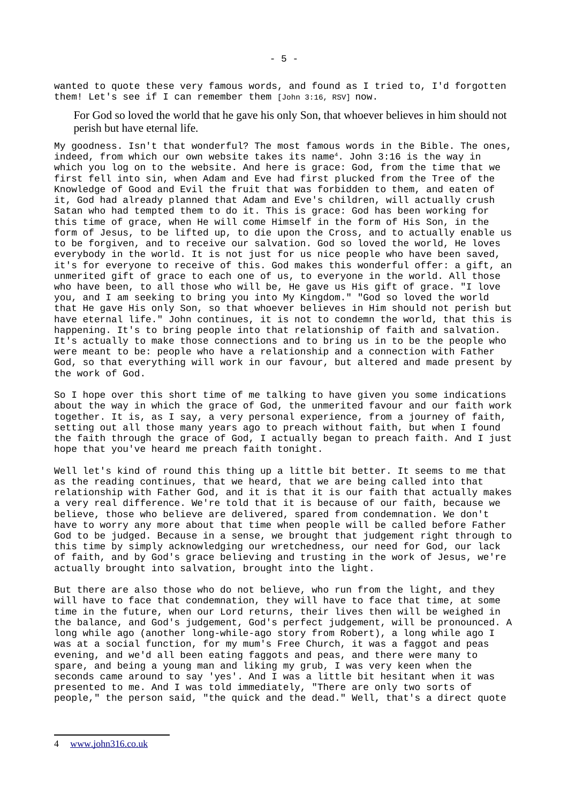wanted to quote these very famous words, and found as I tried to, I'd forgotten them! Let's see if I can remember them [John 3:16, RSV] now.

For God so loved the world that he gave his only Son, that whoever believes in him should not perish but have eternal life.

My goodness. Isn't that wonderful? The most famous words in the Bible. The ones, indeed, from which our own website takes its name[4](#page-4-0). John 3:16 is the way in which you log on to the website. And here is grace: God, from the time that we first fell into sin, when Adam and Eve had first plucked from the Tree of the Knowledge of Good and Evil the fruit that was forbidden to them, and eaten of it, God had already planned that Adam and Eve's children, will actually crush Satan who had tempted them to do it. This is grace: God has been working for this time of grace, when He will come Himself in the form of His Son, in the form of Jesus, to be lifted up, to die upon the Cross, and to actually enable us to be forgiven, and to receive our salvation. God so loved the world, He loves everybody in the world. It is not just for us nice people who have been saved, it's for everyone to receive of this. God makes this wonderful offer: a gift, an unmerited gift of grace to each one of us, to everyone in the world. All those who have been, to all those who will be, He gave us His gift of grace. "I love you, and I am seeking to bring you into My Kingdom." "God so loved the world that He gave His only Son, so that whoever believes in Him should not perish but have eternal life." John continues, it is not to condemn the world, that this is happening. It's to bring people into that relationship of faith and salvation. It's actually to make those connections and to bring us in to be the people who were meant to be: people who have a relationship and a connection with Father God, so that everything will work in our favour, but altered and made present by the work of God.

So I hope over this short time of me talking to have given you some indications about the way in which the grace of God, the unmerited favour and our faith work together. It is, as I say, a very personal experience, from a journey of faith, setting out all those many years ago to preach without faith, but when I found the faith through the grace of God, I actually began to preach faith. And I just hope that you've heard me preach faith tonight.

Well let's kind of round this thing up a little bit better. It seems to me that as the reading continues, that we heard, that we are being called into that relationship with Father God, and it is that it is our faith that actually makes a very real difference. We're told that it is because of our faith, because we believe, those who believe are delivered, spared from condemnation. We don't have to worry any more about that time when people will be called before Father God to be judged. Because in a sense, we brought that judgement right through to this time by simply acknowledging our wretchedness, our need for God, our lack of faith, and by God's grace believing and trusting in the work of Jesus, we're actually brought into salvation, brought into the light.

But there are also those who do not believe, who run from the light, and they will have to face that condemnation, they will have to face that time, at some time in the future, when our Lord returns, their lives then will be weighed in the balance, and God's judgement, God's perfect judgement, will be pronounced. A long while ago (another long-while-ago story from Robert), a long while ago I was at a social function, for my mum's Free Church, it was a faggot and peas evening, and we'd all been eating faggots and peas, and there were many to spare, and being a young man and liking my grub, I was very keen when the seconds came around to say 'yes'. And I was a little bit hesitant when it was presented to me. And I was told immediately, "There are only two sorts of people," the person said, "the quick and the dead." Well, that's a direct quote

<span id="page-4-0"></span><sup>4</sup> [www.john316.co.uk](https://www.john316.co.uk/)